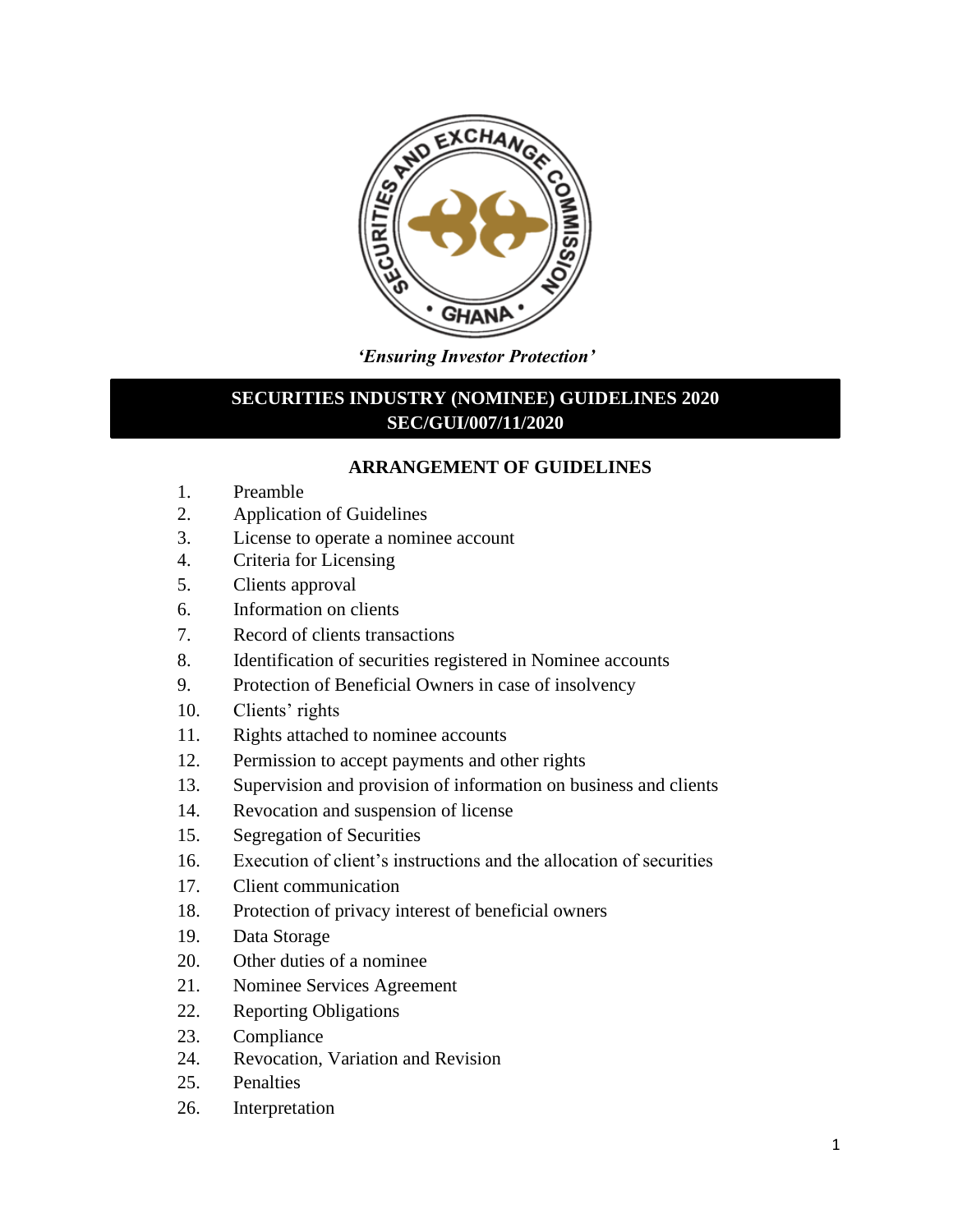

*'Ensuring Investor Protection'*

# **SECURITIES INDUSTRY (NOMINEE) GUIDELINES 2020 SEC/GUI/007/11/2020**

## **ARRANGEMENT OF GUIDELINES**

- 1. Preamble
- 2. Application of Guidelines
- 3. License to operate a nominee account
- 4. Criteria for Licensing
- 5. Clients approval
- 6. Information on clients
- 7. Record of clients transactions
- 8. Identification of securities registered in Nominee accounts
- 9. Protection of Beneficial Owners in case of insolvency
- 10. Clients' rights
- 11. Rights attached to nominee accounts
- 12. Permission to accept payments and other rights
- 13. Supervision and provision of information on business and clients
- 14. Revocation and suspension of license
- 15. Segregation of Securities
- 16. Execution of client's instructions and the allocation of securities
- 17. Client communication
- 18. Protection of privacy interest of beneficial owners
- 19. Data Storage
- 20. Other duties of a nominee
- 21. Nominee Services Agreement
- 22. Reporting Obligations
- 23. Compliance
- 24. Revocation, Variation and Revision
- 25. Penalties
- 26. Interpretation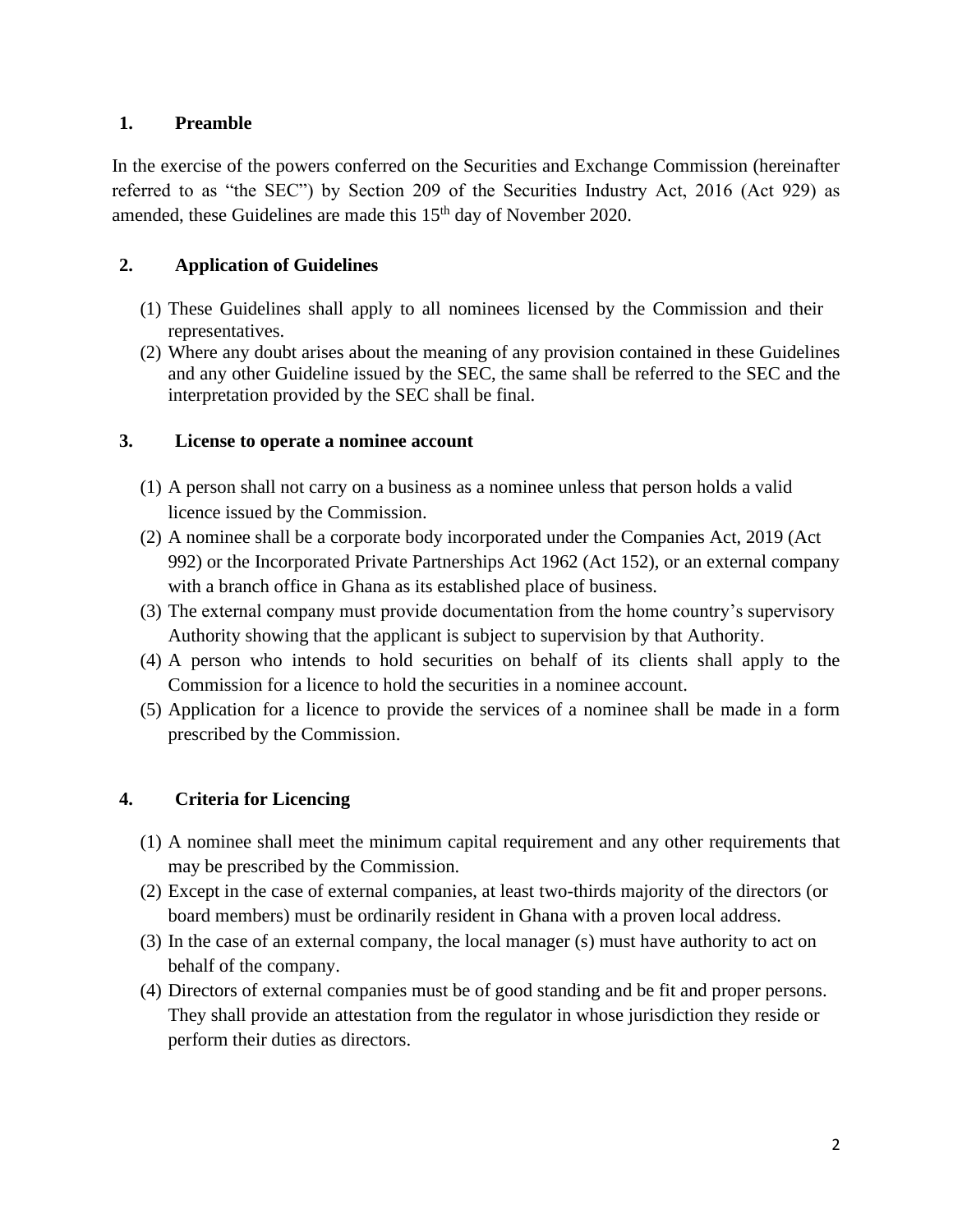### **1. Preamble**

In the exercise of the powers conferred on the Securities and Exchange Commission (hereinafter referred to as "the SEC") by Section 209 of the Securities Industry Act, 2016 (Act 929) as amended, these Guidelines are made this  $15<sup>th</sup>$  day of November 2020.

# **2. Application of Guidelines**

- (1) These Guidelines shall apply to all nominees licensed by the Commission and their representatives.
- (2) Where any doubt arises about the meaning of any provision contained in these Guidelines and any other Guideline issued by the SEC, the same shall be referred to the SEC and the interpretation provided by the SEC shall be final.

# **3. License to operate a nominee account**

- (1) A person shall not carry on a business as a nominee unless that person holds a valid licence issued by the Commission.
- (2) A nominee shall be a corporate body incorporated under the Companies Act, 2019 (Act 992) or the Incorporated Private Partnerships Act 1962 (Act 152), or an external company with a branch office in Ghana as its established place of business.
- (3) The external company must provide documentation from the home country's supervisory Authority showing that the applicant is subject to supervision by that Authority.
- (4) A person who intends to hold securities on behalf of its clients shall apply to the Commission for a licence to hold the securities in a nominee account.
- (5) Application for a licence to provide the services of a nominee shall be made in a form prescribed by the Commission.

# **4. Criteria for Licencing**

- (1) A nominee shall meet the minimum capital requirement and any other requirements that may be prescribed by the Commission.
- (2) Except in the case of external companies, at least two-thirds majority of the directors (or board members) must be ordinarily resident in Ghana with a proven local address.
- (3) In the case of an external company, the local manager (s) must have authority to act on behalf of the company.
- (4) Directors of external companies must be of good standing and be fit and proper persons. They shall provide an attestation from the regulator in whose jurisdiction they reside or perform their duties as directors.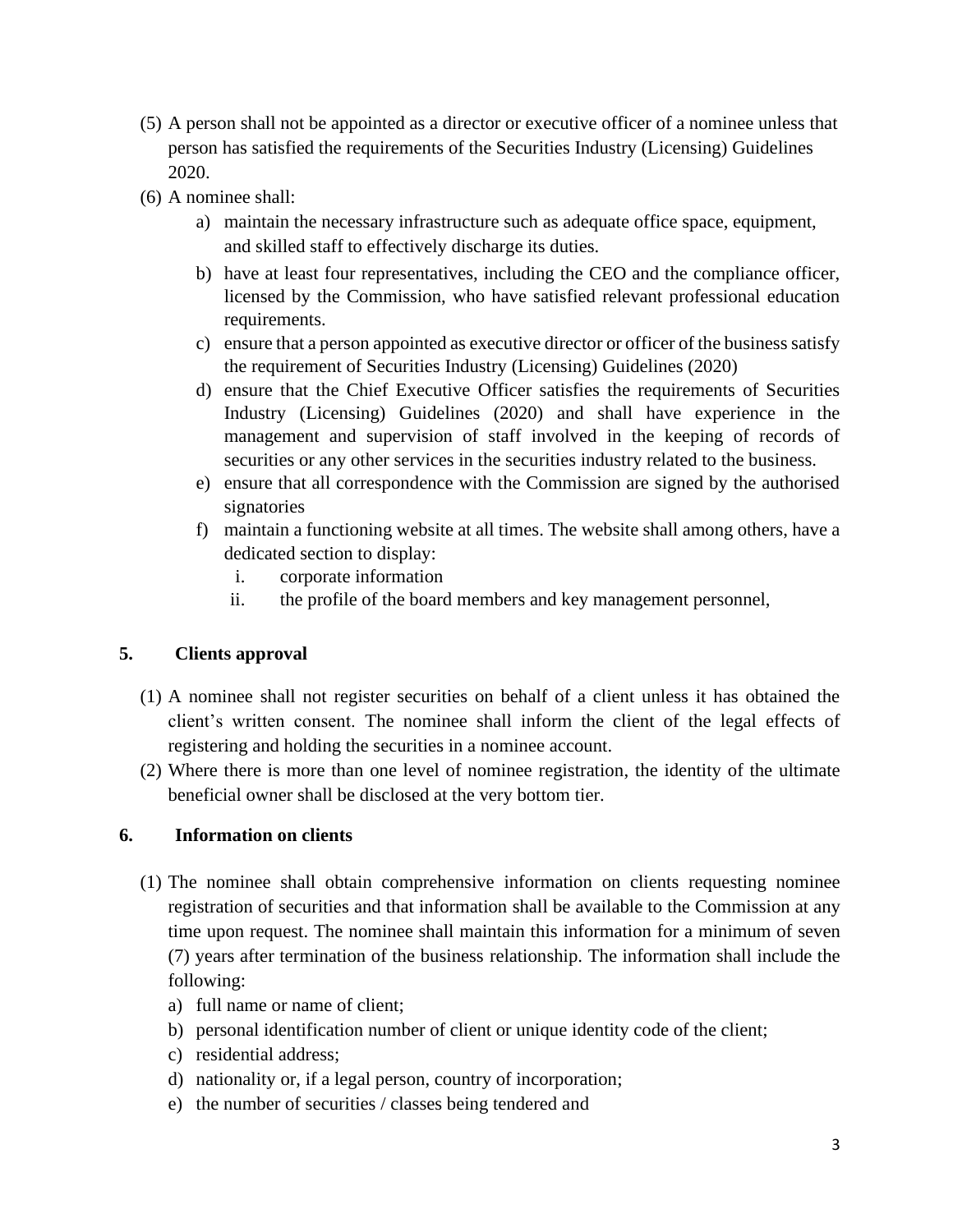- (5) A person shall not be appointed as a director or executive officer of a nominee unless that person has satisfied the requirements of the Securities Industry (Licensing) Guidelines 2020.
- (6) A nominee shall:
	- a) maintain the necessary infrastructure such as adequate office space, equipment, and skilled staff to effectively discharge its duties.
	- b) have at least four representatives, including the CEO and the compliance officer, licensed by the Commission, who have satisfied relevant professional education requirements.
	- c) ensure that a person appointed as executive director or officer of the business satisfy the requirement of Securities Industry (Licensing) Guidelines (2020)
	- d) ensure that the Chief Executive Officer satisfies the requirements of Securities Industry (Licensing) Guidelines (2020) and shall have experience in the management and supervision of staff involved in the keeping of records of securities or any other services in the securities industry related to the business.
	- e) ensure that all correspondence with the Commission are signed by the authorised signatories
	- f) maintain a functioning website at all times. The website shall among others, have a dedicated section to display:
		- i. corporate information
		- ii. the profile of the board members and key management personnel,

# **5. Clients approval**

- (1) A nominee shall not register securities on behalf of a client unless it has obtained the client's written consent. The nominee shall inform the client of the legal effects of registering and holding the securities in a nominee account.
- (2) Where there is more than one level of nominee registration, the identity of the ultimate beneficial owner shall be disclosed at the very bottom tier.

### **6. Information on clients**

- (1) The nominee shall obtain comprehensive information on clients requesting nominee registration of securities and that information shall be available to the Commission at any time upon request. The nominee shall maintain this information for a minimum of seven (7) years after termination of the business relationship. The information shall include the following:
	- a) full name or name of client;
	- b) personal identification number of client or unique identity code of the client;
	- c) residential address;
	- d) nationality or, if a legal person, country of incorporation;
	- e) the number of securities / classes being tendered and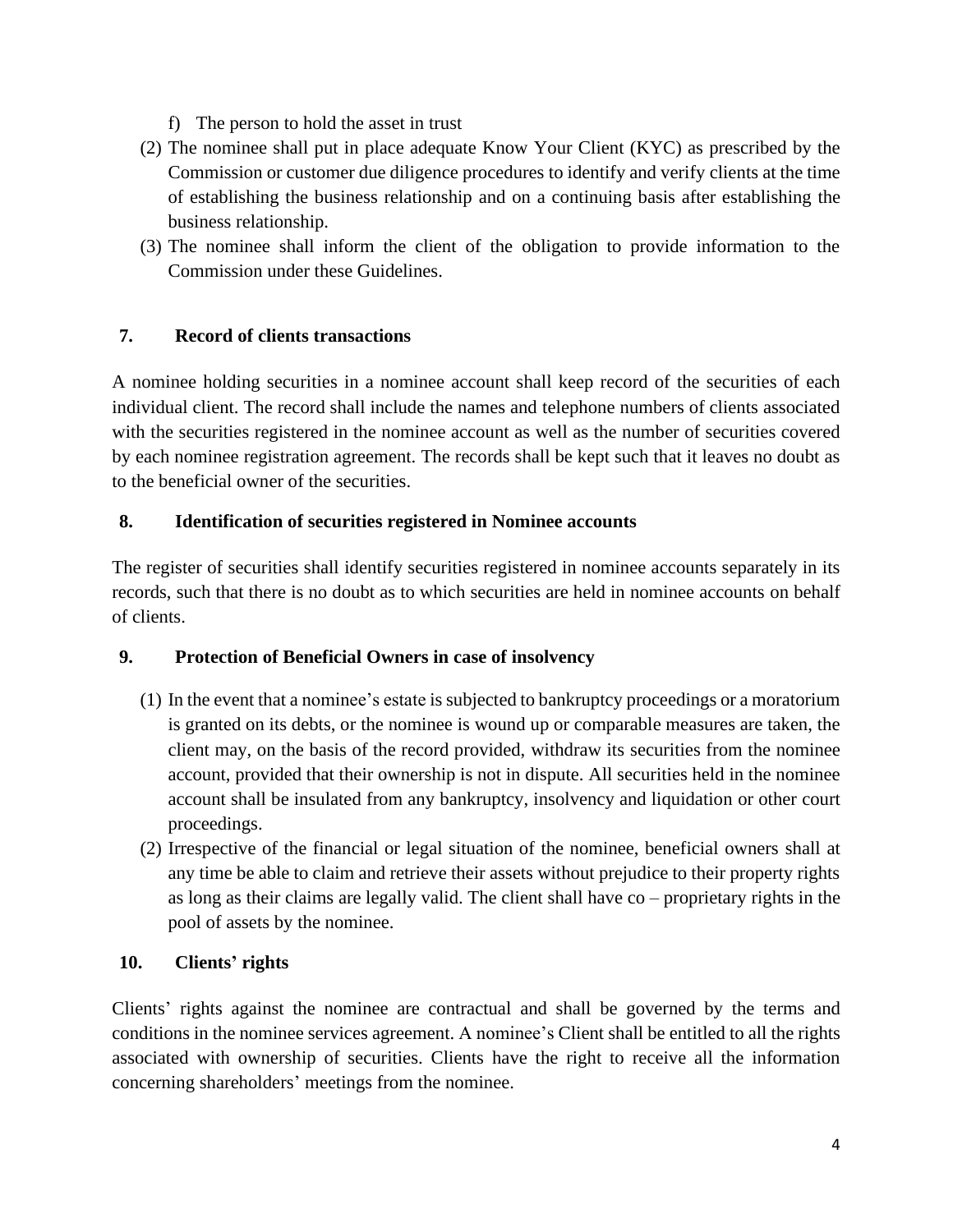- f) The person to hold the asset in trust
- (2) The nominee shall put in place adequate Know Your Client (KYC) as prescribed by the Commission or customer due diligence procedures to identify and verify clients at the time of establishing the business relationship and on a continuing basis after establishing the business relationship.
- (3) The nominee shall inform the client of the obligation to provide information to the Commission under these Guidelines.

## **7. Record of clients transactions**

A nominee holding securities in a nominee account shall keep record of the securities of each individual client. The record shall include the names and telephone numbers of clients associated with the securities registered in the nominee account as well as the number of securities covered by each nominee registration agreement. The records shall be kept such that it leaves no doubt as to the beneficial owner of the securities.

### **8. Identification of securities registered in Nominee accounts**

The register of securities shall identify securities registered in nominee accounts separately in its records, such that there is no doubt as to which securities are held in nominee accounts on behalf of clients.

### **9. Protection of Beneficial Owners in case of insolvency**

- (1) In the event that a nominee's estate is subjected to bankruptcy proceedings or a moratorium is granted on its debts, or the nominee is wound up or comparable measures are taken, the client may, on the basis of the record provided, withdraw its securities from the nominee account, provided that their ownership is not in dispute. All securities held in the nominee account shall be insulated from any bankruptcy, insolvency and liquidation or other court proceedings.
- (2) Irrespective of the financial or legal situation of the nominee, beneficial owners shall at any time be able to claim and retrieve their assets without prejudice to their property rights as long as their claims are legally valid. The client shall have co – proprietary rights in the pool of assets by the nominee.

### **10. Clients' rights**

Clients' rights against the nominee are contractual and shall be governed by the terms and conditions in the nominee services agreement. A nominee's Client shall be entitled to all the rights associated with ownership of securities. Clients have the right to receive all the information concerning shareholders' meetings from the nominee.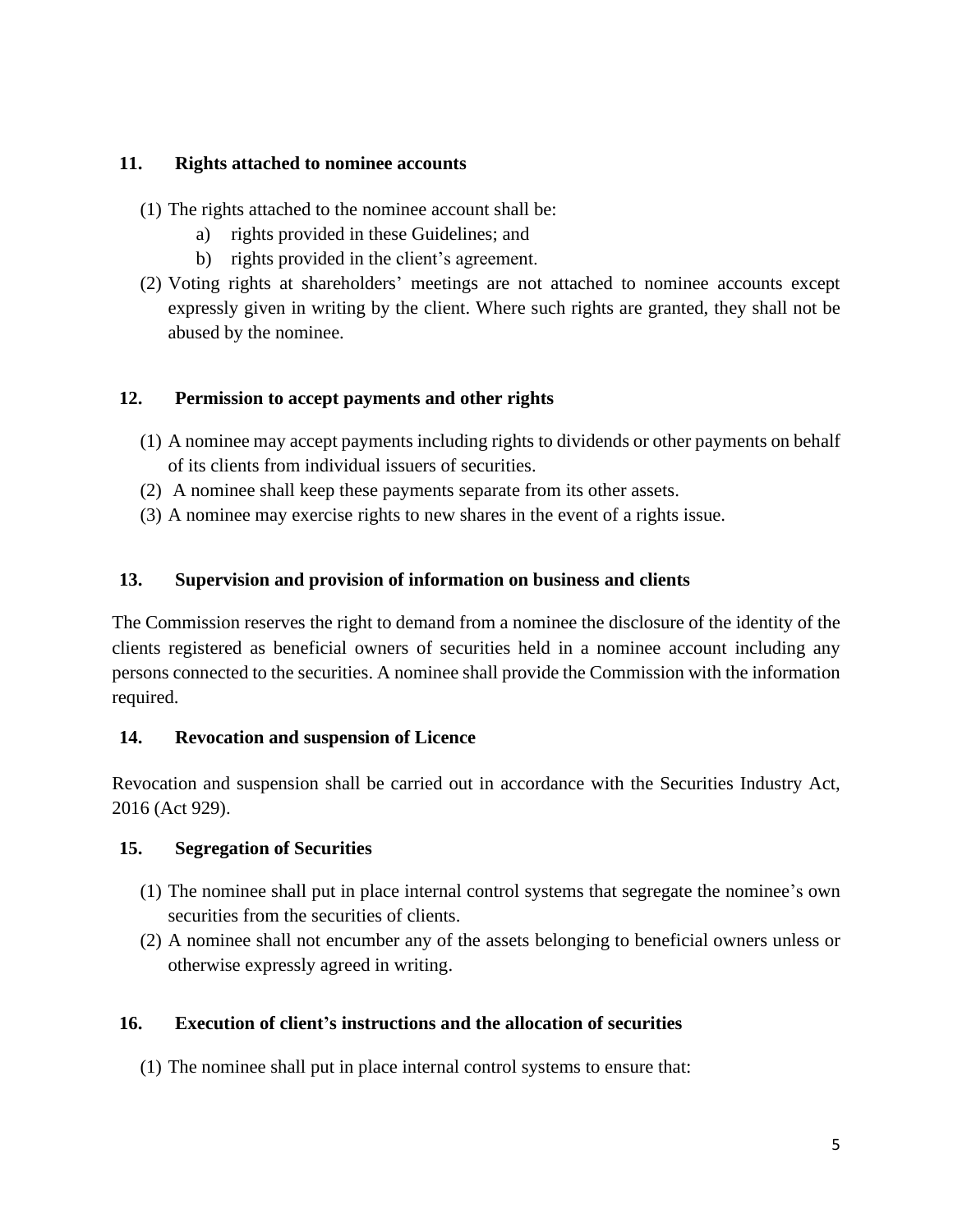### **11. Rights attached to nominee accounts**

- (1) The rights attached to the nominee account shall be:
	- a) rights provided in these Guidelines; and
	- b) rights provided in the client's agreement.
- (2) Voting rights at shareholders' meetings are not attached to nominee accounts except expressly given in writing by the client. Where such rights are granted, they shall not be abused by the nominee.

## **12. Permission to accept payments and other rights**

- (1) A nominee may accept payments including rights to dividends or other payments on behalf of its clients from individual issuers of securities.
- (2) A nominee shall keep these payments separate from its other assets.
- (3) A nominee may exercise rights to new shares in the event of a rights issue.

## **13. Supervision and provision of information on business and clients**

The Commission reserves the right to demand from a nominee the disclosure of the identity of the clients registered as beneficial owners of securities held in a nominee account including any persons connected to the securities. A nominee shall provide the Commission with the information required.

### **14. Revocation and suspension of Licence**

Revocation and suspension shall be carried out in accordance with the Securities Industry Act, 2016 (Act 929).

### **15. Segregation of Securities**

- (1) The nominee shall put in place internal control systems that segregate the nominee's own securities from the securities of clients.
- (2) A nominee shall not encumber any of the assets belonging to beneficial owners unless or otherwise expressly agreed in writing.

# **16. Execution of client's instructions and the allocation of securities**

(1) The nominee shall put in place internal control systems to ensure that: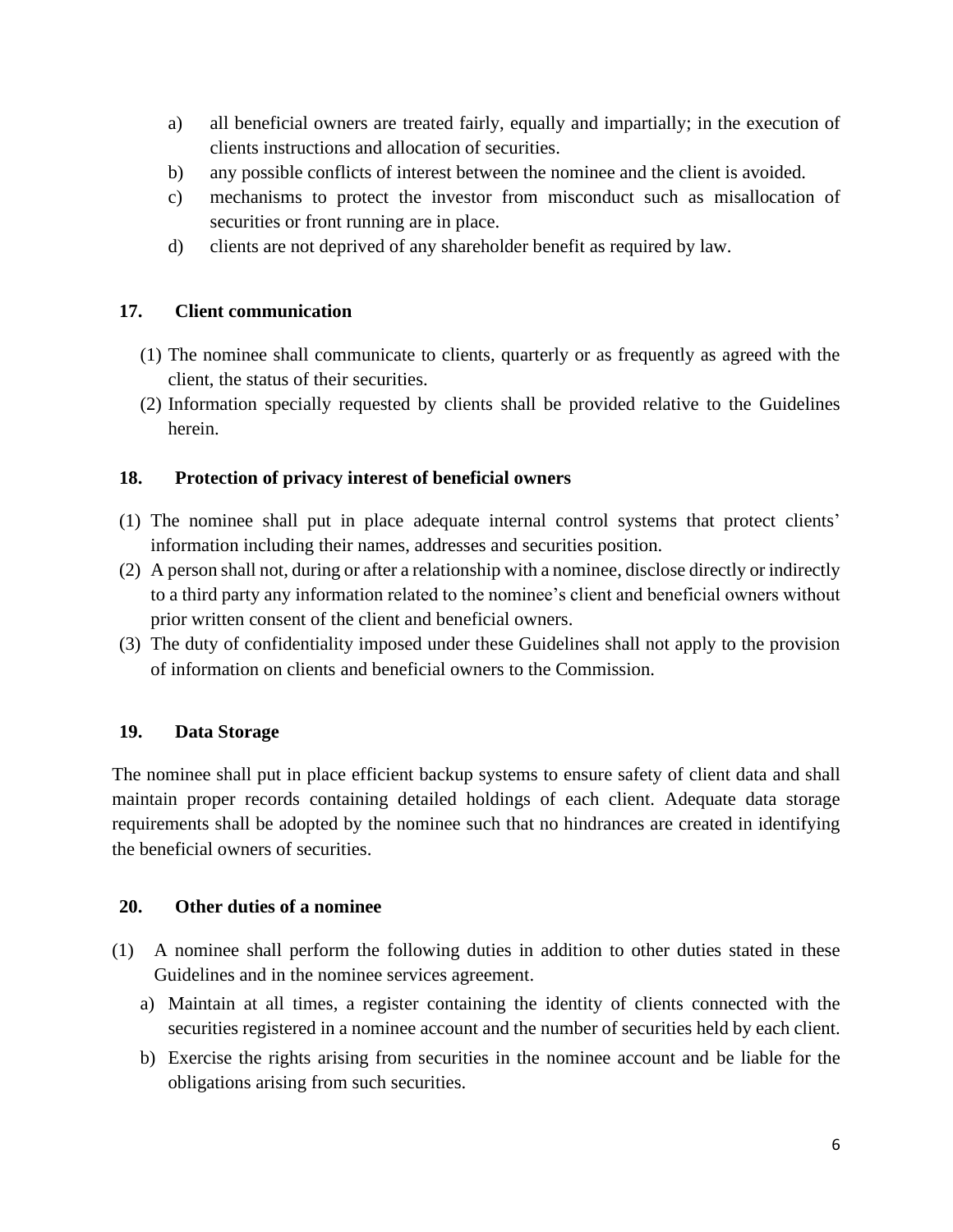- a) all beneficial owners are treated fairly, equally and impartially; in the execution of clients instructions and allocation of securities.
- b) any possible conflicts of interest between the nominee and the client is avoided.
- c) mechanisms to protect the investor from misconduct such as misallocation of securities or front running are in place.
- d) clients are not deprived of any shareholder benefit as required by law.

## **17. Client communication**

- (1) The nominee shall communicate to clients, quarterly or as frequently as agreed with the client, the status of their securities.
- (2) Information specially requested by clients shall be provided relative to the Guidelines herein.

## **18. Protection of privacy interest of beneficial owners**

- (1) The nominee shall put in place adequate internal control systems that protect clients' information including their names, addresses and securities position.
- (2) A person shall not, during or after a relationship with a nominee, disclose directly or indirectly to a third party any information related to the nominee's client and beneficial owners without prior written consent of the client and beneficial owners.
- (3) The duty of confidentiality imposed under these Guidelines shall not apply to the provision of information on clients and beneficial owners to the Commission.

# **19. Data Storage**

The nominee shall put in place efficient backup systems to ensure safety of client data and shall maintain proper records containing detailed holdings of each client. Adequate data storage requirements shall be adopted by the nominee such that no hindrances are created in identifying the beneficial owners of securities.

### **20. Other duties of a nominee**

- (1) A nominee shall perform the following duties in addition to other duties stated in these Guidelines and in the nominee services agreement.
	- a) Maintain at all times, a register containing the identity of clients connected with the securities registered in a nominee account and the number of securities held by each client.
	- b) Exercise the rights arising from securities in the nominee account and be liable for the obligations arising from such securities.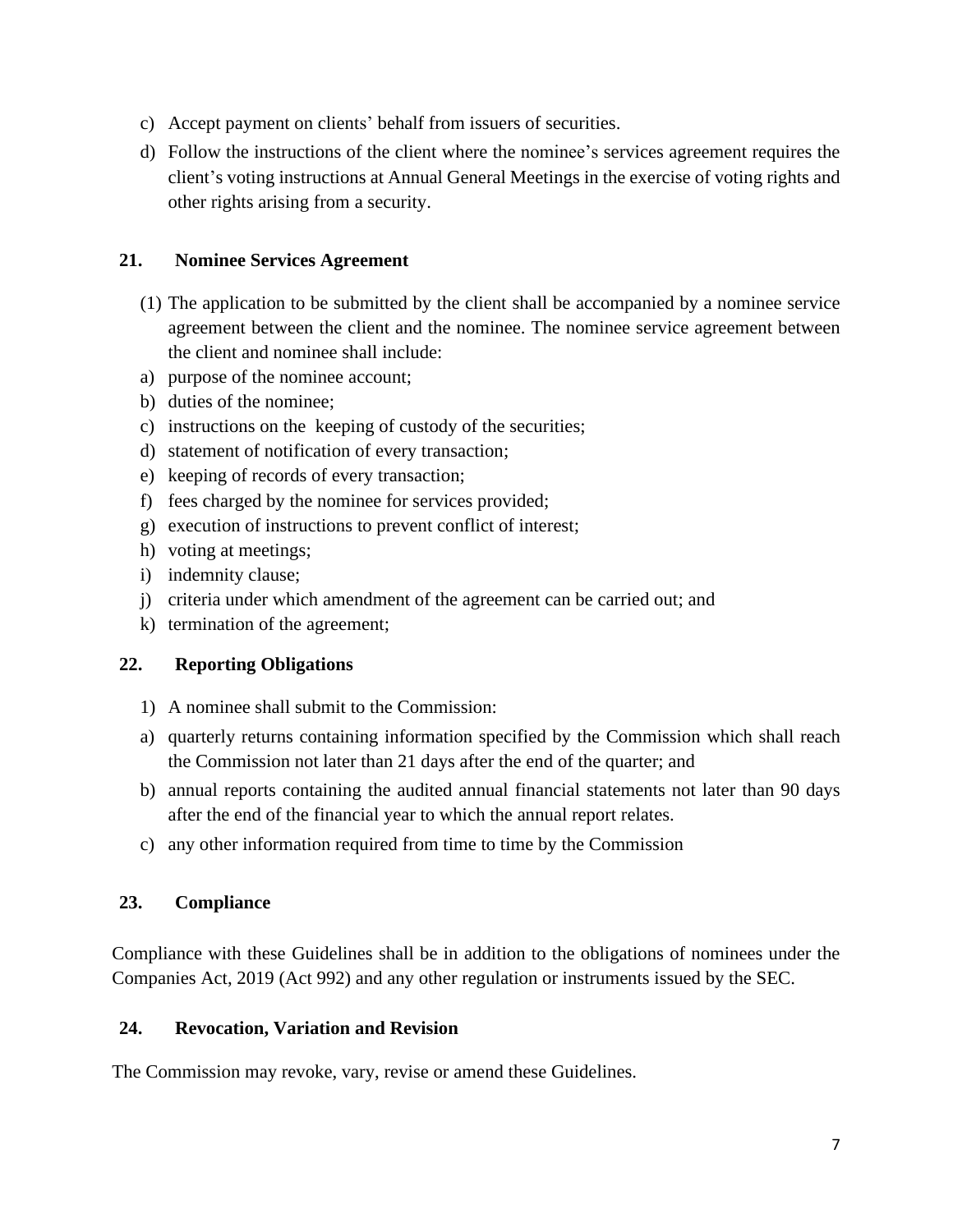- c) Accept payment on clients' behalf from issuers of securities.
- d) Follow the instructions of the client where the nominee's services agreement requires the client's voting instructions at Annual General Meetings in the exercise of voting rights and other rights arising from a security.

#### **21. Nominee Services Agreement**

- (1) The application to be submitted by the client shall be accompanied by a nominee service agreement between the client and the nominee. The nominee service agreement between the client and nominee shall include:
- a) purpose of the nominee account;
- b) duties of the nominee;
- c) instructions on the keeping of custody of the securities;
- d) statement of notification of every transaction;
- e) keeping of records of every transaction;
- f) fees charged by the nominee for services provided;
- g) execution of instructions to prevent conflict of interest;
- h) voting at meetings;
- i) indemnity clause;
- j) criteria under which amendment of the agreement can be carried out; and
- k) termination of the agreement;

#### **22. Reporting Obligations**

- 1) A nominee shall submit to the Commission:
- a) quarterly returns containing information specified by the Commission which shall reach the Commission not later than 21 days after the end of the quarter; and
- b) annual reports containing the audited annual financial statements not later than 90 days after the end of the financial year to which the annual report relates.
- c) any other information required from time to time by the Commission

#### **23. Compliance**

Compliance with these Guidelines shall be in addition to the obligations of nominees under the Companies Act, 2019 (Act 992) and any other regulation or instruments issued by the SEC.

#### **24. Revocation, Variation and Revision**

The Commission may revoke, vary, revise or amend these Guidelines.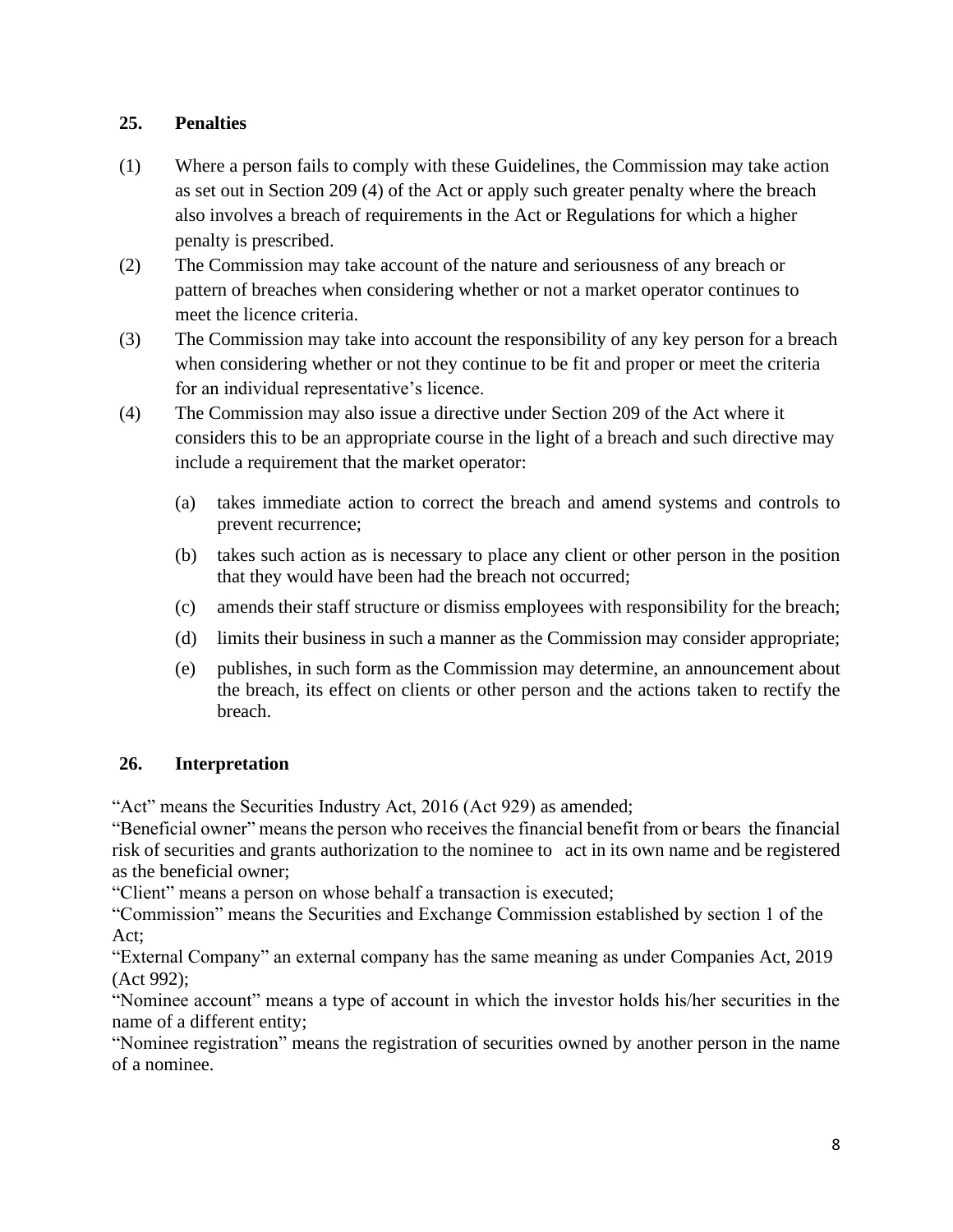## **25. Penalties**

- (1) Where a person fails to comply with these Guidelines, the Commission may take action as set out in Section 209 (4) of the Act or apply such greater penalty where the breach also involves a breach of requirements in the Act or Regulations for which a higher penalty is prescribed.
- (2) The Commission may take account of the nature and seriousness of any breach or pattern of breaches when considering whether or not a market operator continues to meet the licence criteria.
- (3) The Commission may take into account the responsibility of any key person for a breach when considering whether or not they continue to be fit and proper or meet the criteria for an individual representative's licence.
- (4) The Commission may also issue a directive under Section 209 of the Act where it considers this to be an appropriate course in the light of a breach and such directive may include a requirement that the market operator:
	- (a) takes immediate action to correct the breach and amend systems and controls to prevent recurrence;
	- (b) takes such action as is necessary to place any client or other person in the position that they would have been had the breach not occurred;
	- (c) amends their staff structure or dismiss employees with responsibility for the breach;
	- (d) limits their business in such a manner as the Commission may consider appropriate;
	- (e) publishes, in such form as the Commission may determine, an announcement about the breach, its effect on clients or other person and the actions taken to rectify the breach.

# **26. Interpretation**

"Act" means the Securities Industry Act, 2016 (Act 929) as amended;

"Beneficial owner" means the person who receives the financial benefit from or bears the financial risk of securities and grants authorization to the nominee to act in its own name and be registered as the beneficial owner;

"Client" means a person on whose behalf a transaction is executed;

"Commission" means the Securities and Exchange Commission established by section 1 of the Act;

"External Company" an external company has the same meaning as under Companies Act, 2019 (Act 992);

"Nominee account" means a type of account in which the investor holds his/her securities in the name of a different entity;

"Nominee registration" means the registration of securities owned by another person in the name of a nominee.